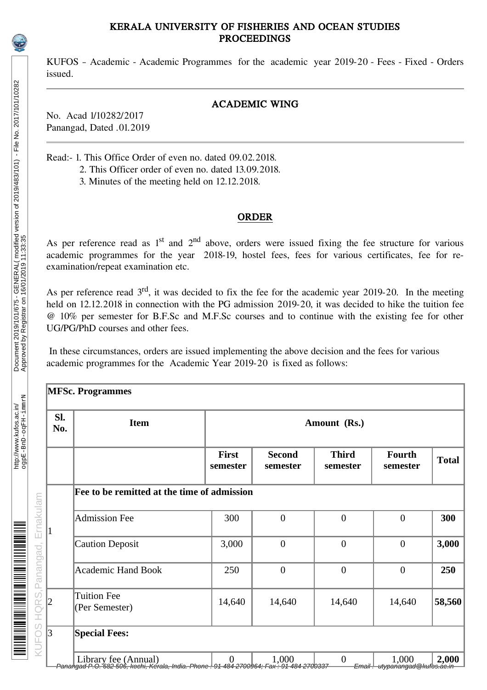### KERALA UNIVERSITY OF FISHERIES AND OCEAN STUDIES PROCEEDINGS

KUFOS – Academic - Academic Programmes for the academic year 2019-20 - Fees - Fixed - Orders issued.

## ACADEMIC WING

No. Acad 1/10282/2017 Panangad, Dated .01.2019

Read:- 1. This Office Order of even no. dated 09.02.2018.

- 2. This Officer order of even no. dated 13.09.2018.
	- 3. Minutes of the meeting held on 12.12.2018.

#### ORDER

As per reference read as  $1<sup>st</sup>$  and  $2<sup>nd</sup>$  above, orders were issued fixing the fee structure for various academic programmes for the year 2018-19, hostel fees, fees for various certificates, fee for reexamination/repeat examination etc.

As per reference read  $3<sup>rd</sup>$ , it was decided to fix the fee for the academic year 2019-20. In the meeting held on 12.12.2018 in connection with the PG admission 2019-20, it was decided to hike the tuition fee @ 10% per semester for B.F.Sc and M.F.Sc courses and to continue with the existing fee for other UG/PG/PhD courses and other fees.

In these circumstances, orders are issued implementing the above decision and the fees for various academic programmes for the Academic Year 2019-20 is fixed as follows:

| SI.<br>No. | Item                                                                                                           |                   | Amount (Rs.)              |                          |                    |              |  |  |
|------------|----------------------------------------------------------------------------------------------------------------|-------------------|---------------------------|--------------------------|--------------------|--------------|--|--|
|            |                                                                                                                | First<br>semester | <b>Second</b><br>semester | <b>Third</b><br>semester | Fourth<br>semester | <b>Total</b> |  |  |
|            | Fee to be remitted at the time of admission                                                                    |                   |                           |                          |                    |              |  |  |
| 1          | <b>Admission Fee</b>                                                                                           | 300               | $\overline{0}$            | $\overline{0}$           | $\overline{0}$     | 300          |  |  |
|            | <b>Caution Deposit</b>                                                                                         | 3,000             | $\overline{0}$            | $\mathbf{0}$             | $\overline{0}$     | 3,000        |  |  |
|            | Academic Hand Book                                                                                             | 250               | $\mathbf{0}$              | $\mathbf{0}$             | $\mathbf{0}$       | 250          |  |  |
| 2          | <b>Tuition Fee</b><br>(Per Semester)                                                                           | 14,640            | 14,640                    | 14,640                   | 14,640             | 58,560       |  |  |
| 3          | <b>Special Fees:</b>                                                                                           |                   |                           |                          |                    |              |  |  |
|            | Library fee (Annual)<br>Panangad P.O. 692 506, kochi, Kerala, India. Phone 91 484 2700964, Fax: 91 484 2700337 |                   |                           | $\theta$                 | 1,000              | 2,000        |  |  |

http://www.kufos.ac.in/

<u> Harimani Indiana al III din Americano di Sensione di Sensione di Sensione di Sensione di Sensione di Sensione</u>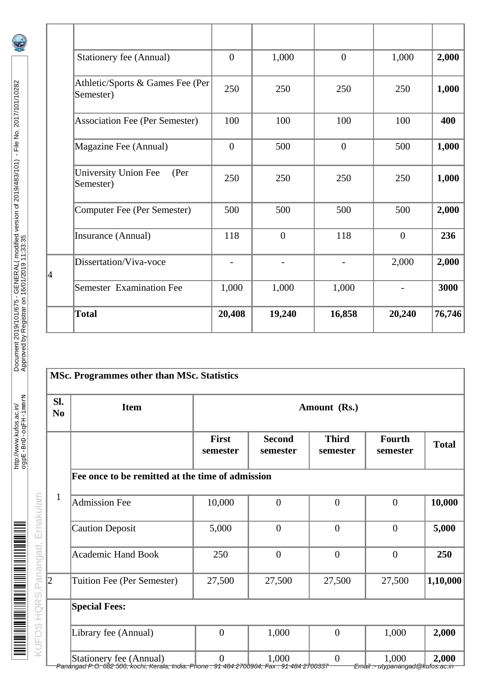| <b>Stationery fee (Annual)</b>                   | $\theta$     | 1,000          | $\overline{0}$ | 1,000          | 2,000  |
|--------------------------------------------------|--------------|----------------|----------------|----------------|--------|
| Athletic/Sports & Games Fee (Per<br>Semester)    | 250          | 250            | 250            | 250            | 1,000  |
| Association Fee (Per Semester)                   | 100          | 100            | 100            | 100            | 400    |
| Magazine Fee (Annual)                            | $\mathbf{0}$ | 500            | $\mathbf{0}$   | 500            | 1,000  |
| <b>University Union Fee</b><br>(Per<br>Semester) | 250          | 250            | 250            | 250            | 1,000  |
| Computer Fee (Per Semester)                      | 500          | 500            | 500            | 500            | 2,000  |
| Insurance (Annual)                               | 118          | $\overline{0}$ | 118            | $\overline{0}$ | 236    |
| Dissertation/Viva-voce                           |              |                |                | 2,000          | 2,000  |
| Semester Examination Fee                         | 1,000        | 1,000          | 1,000          |                | 3000   |
| <b>Total</b>                                     | 20,408       | 19,240         | 16,858         | 20,240         | 76,746 |

| SI.<br>N <sub>0</sub> | Item                                             | Amount (Rs.)             |                           |                          |                           |              |  |  |  |
|-----------------------|--------------------------------------------------|--------------------------|---------------------------|--------------------------|---------------------------|--------------|--|--|--|
|                       |                                                  | <b>First</b><br>semester | <b>Second</b><br>semester | <b>Third</b><br>semester | <b>Fourth</b><br>semester | <b>Total</b> |  |  |  |
|                       | Fee once to be remitted at the time of admission |                          |                           |                          |                           |              |  |  |  |
| $\mathbf{1}$          | <b>Admission Fee</b>                             | 10,000                   | $\mathbf{0}$              | $\boldsymbol{0}$         | $\mathbf{0}$              | 10,000       |  |  |  |
|                       | <b>Caution Deposit</b>                           | 5,000                    | $\boldsymbol{0}$          | $\boldsymbol{0}$         | $\boldsymbol{0}$          | 5,000        |  |  |  |
|                       | <b>Academic Hand Book</b>                        | 250                      | $\boldsymbol{0}$          | $\overline{0}$           | $\boldsymbol{0}$          | 250          |  |  |  |
| 2                     | Tuition Fee (Per Semester)                       | 27,500                   | 27,500                    | 27,500                   | 27,500                    | 1,10,000     |  |  |  |
|                       | <b>Special Fees:</b>                             |                          |                           |                          |                           |              |  |  |  |
|                       | Library fee (Annual)                             | $\mathbf{0}$             | 1,000                     | $\overline{0}$           | 1,000                     | 2,000        |  |  |  |
|                       | <b>Stationery fee (Annual)</b>                   | $\boldsymbol{0}$         | 1,000                     | $\boldsymbol{0}$         | 1,000                     | 2,000        |  |  |  |

4

Panangad P.O. 682 506, kochi, Kerala, India. Phone : 91 484 2700964; Fax : 91 484 2700337 Email :- utypanangad@kufos.ac.in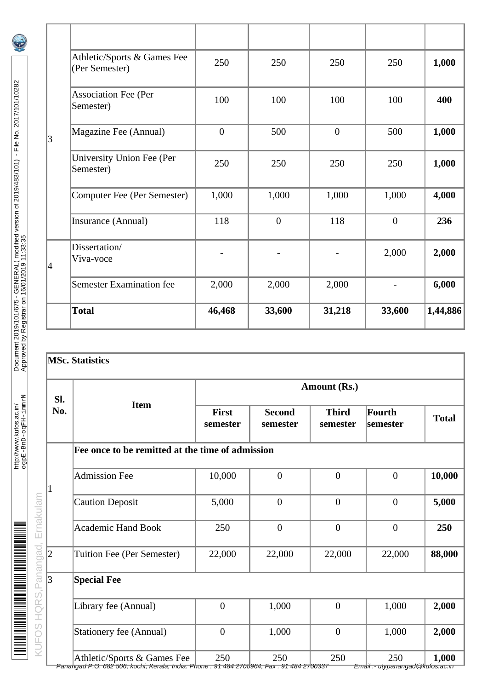|   | Athletic/Sports & Games Fee<br>(Per Semester) | 250          | 250              | 250          | 250          | 1,000    |
|---|-----------------------------------------------|--------------|------------------|--------------|--------------|----------|
|   | <b>Association Fee (Per</b><br>Semester)      | 100          | 100              | 100          | 100          | 400      |
| 3 | Magazine Fee (Annual)                         | $\mathbf{0}$ | 500              | $\mathbf{0}$ | 500          | 1,000    |
|   | <b>University Union Fee (Per</b><br>Semester) | 250          | 250              | 250          | 250          | 1,000    |
|   | <b>Computer Fee (Per Semester)</b>            | 1,000        | 1,000            | 1,000        | 1,000        | 4,000    |
|   | Insurance (Annual)                            | 118          | $\boldsymbol{0}$ | 118          | $\mathbf{0}$ | 236      |
| 4 | Dissertation/<br>Viva-voce                    |              |                  |              | 2,000        | 2,000    |
|   | <b>Semester Examination fee</b>               | 2,000        | 2,000            | 2,000        |              | 6,000    |
|   | <b>Total</b>                                  | 46,468       | 33,600           | 31,218       | 33,600       | 1,44,886 |

# **MSc. Statistics**

| SI. |                                                  |                          |                           | <b>Amount (Rs.)</b>      |                     |              |
|-----|--------------------------------------------------|--------------------------|---------------------------|--------------------------|---------------------|--------------|
| No. | <b>Item</b>                                      | <b>First</b><br>semester | <b>Second</b><br>semester | <b>Third</b><br>semester | Fourth<br> semester | <b>Total</b> |
|     | Fee once to be remitted at the time of admission |                          |                           |                          |                     |              |
|     | <b>Admission Fee</b>                             | 10,000                   | $\overline{0}$            | $\overline{0}$           | $\overline{0}$      | 10,000       |
| 1   | <b>Caution Deposit</b>                           | 5,000                    | $\mathbf{0}$              | $\mathbf{0}$             | $\mathbf{0}$        | 5,000        |
|     | <b>Academic Hand Book</b>                        | 250                      | $\mathbf{0}$              | $\overline{0}$           | $\overline{0}$      | 250          |
| 2   | <b>Tuition Fee (Per Semester)</b>                | 22,000                   | 22,000                    | 22,000                   | 22,000              | 88,000       |
| 3   | <b>Special Fee</b>                               |                          |                           |                          |                     |              |
|     | Library fee (Annual)                             | $\mathbf{0}$             | 1,000                     | $\mathbf{0}$             | 1,000               | 2,000        |
|     | <b>Stationery fee (Annual)</b>                   | $\mathbf{0}$             | 1,000                     | $\mathbf{0}$             | 1,000               | 2,000        |
|     | Athletic/Sports & Games Fee                      | 250                      | 250                       | 250                      | 250                 | 1,000        |

http://www.kufos.ac.in/<br>ogpE-BnD-oqFH-immrN http://www.kufos.ac.in/

Panangad P.O. 682 506, kochi, Kerala, India. Phone : 91 484 2700964; Fax : 91 484 2700337 Email :- utypanangad@kufos.ac.in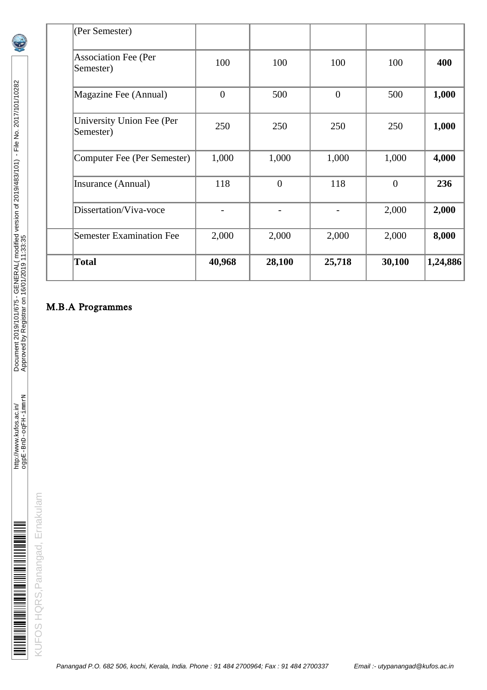| <b>Total</b>                                  | 40,968         | 28,100   | 25,718         | 30,100         | 1,24,886 |
|-----------------------------------------------|----------------|----------|----------------|----------------|----------|
| <b>Semester Examination Fee</b>               | 2,000          | 2,000    | 2,000          | 2,000          | 8,000    |
| Dissertation/Viva-voce                        |                |          |                | 2,000          | 2,000    |
| Insurance (Annual)                            | 118            | $\theta$ | 118            | $\overline{0}$ | 236      |
| Computer Fee (Per Semester)                   | 1,000          | 1,000    | 1,000          | 1,000          | 4,000    |
| <b>University Union Fee (Per</b><br>Semester) | 250            | 250      | 250            | 250            | 1,000    |
| Magazine Fee (Annual)                         | $\overline{0}$ | 500      | $\overline{0}$ | 500            | 1,000    |
| <b>Association Fee (Per</b><br>Semester)      | 100            | 100      | 100            | 100            | 400      |
| (Per Semester)                                |                |          |                |                |          |

# M.B.A Programmes

http://www.kufos.ac.in/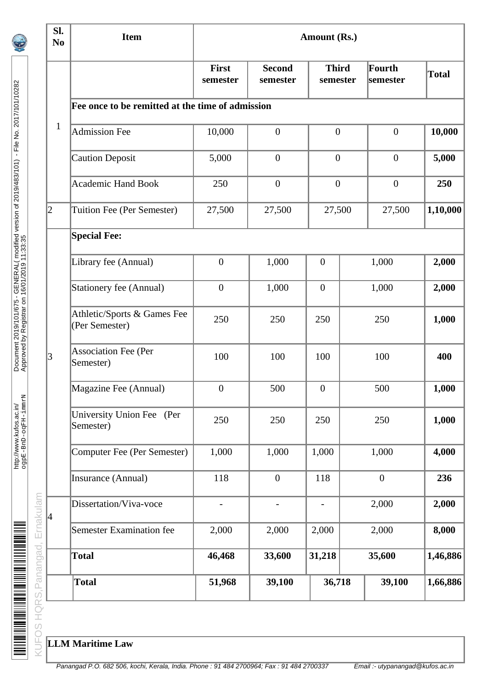| SI.<br><b>Item</b><br><b>Amount (Rs.)</b><br>N <sub>0</sub> |                                                  |                          |                           |                          |                    |              |
|-------------------------------------------------------------|--------------------------------------------------|--------------------------|---------------------------|--------------------------|--------------------|--------------|
|                                                             |                                                  | <b>First</b><br>semester | <b>Second</b><br>semester | <b>Third</b><br>semester | Fourth<br>semester | <b>Total</b> |
|                                                             | Fee once to be remitted at the time of admission |                          |                           |                          |                    |              |
| $\mathbf{1}$                                                | <b>Admission Fee</b>                             | 10,000                   | $\boldsymbol{0}$          | $\boldsymbol{0}$         | $\mathbf{0}$       | 10,000       |
|                                                             | <b>Caution Deposit</b>                           | 5,000                    | $\mathbf{0}$              | $\overline{0}$           | $\mathbf{0}$       | 5,000        |
|                                                             | <b>Academic Hand Book</b>                        | 250                      | $\mathbf{0}$              | $\mathbf{0}$             | $\mathbf{0}$       | 250          |
| 2                                                           | Tuition Fee (Per Semester)                       | 27,500                   | 27,500                    | 27,500                   | 27,500             | 1,10,000     |
|                                                             | <b>Special Fee:</b>                              |                          |                           |                          |                    |              |
|                                                             | Library fee (Annual)                             | $\mathbf{0}$             | 1,000                     | $\boldsymbol{0}$         | 1,000              | 2,000        |
|                                                             | <b>Stationery fee (Annual)</b>                   | $\boldsymbol{0}$         | 1,000                     | $\boldsymbol{0}$         | 1,000              | 2,000        |
|                                                             | Athletic/Sports & Games Fee<br>(Per Semester)    | 250                      | 250                       | 250                      | 250                | 1,000        |
| 3                                                           | <b>Association Fee (Per</b><br>Semester)         | 100                      | 100                       | 100                      | 100                | 400          |
|                                                             | Magazine Fee (Annual)                            | $\boldsymbol{0}$         | 500                       | $\boldsymbol{0}$         | 500                | 1,000        |
|                                                             | University Union Fee (Per<br>Semester)           | 250                      | 250                       | 250                      | 250                | 1,000        |
|                                                             | <b>Computer Fee (Per Semester)</b>               | 1,000                    | 1,000                     | 1,000                    | 1,000              | 4,000        |
|                                                             | Insurance (Annual)                               | 118                      | $\boldsymbol{0}$          | 118                      | $\mathbf{0}$       | 236          |
|                                                             | Dissertation/Viva-voce                           | $\overline{\phantom{0}}$ |                           |                          | 2,000              | 2,000        |
| 4                                                           | <b>Semester Examination fee</b>                  | 2,000                    | 2,000                     | 2,000                    | 2,000              | 8,000        |
|                                                             | <b>Total</b>                                     | 46,468                   | 33,600                    | 31,218                   | 35,600             | 1,46,886     |
|                                                             | <b>Total</b>                                     | 51,968                   | 39,100                    | 36,718                   | 39,100             | 1,66,886     |

Document 2019/101/675 - GENERAL( modified version of 2019/483/101) - File No. 2017/101/10282

Document 2019/101/675 - GENERAL(modified version of 2019/483/101) - File No. 2017/101/10282<br>Approved by Registrar on 16/01/2019 11:33:35

http://www.kufos.ac.in/

<u> Milion Albert Albert III Milion Albert Albert III Milion Albert III Milion Albert III Milion Albert III Mili</u>

http://www.kufos.ac.in/<br>ogpE-BnD-oqFH-immrN

ogpE-BnD-oqFH-immrN Approved by Registrar on 16/01/2019 11:33:35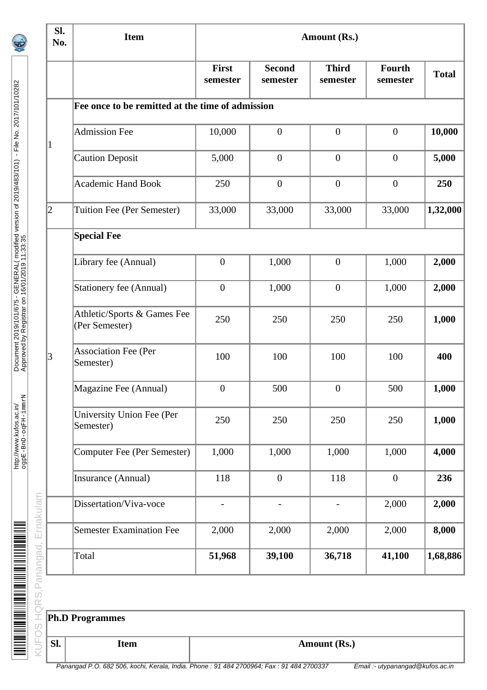| SI.<br>No. | <b>Item</b>                                      |                   |                           | <b>Amount (Rs.)</b>      |                           |              |
|------------|--------------------------------------------------|-------------------|---------------------------|--------------------------|---------------------------|--------------|
|            |                                                  | First<br>semester | <b>Second</b><br>semester | <b>Third</b><br>semester | <b>Fourth</b><br>semester | <b>Total</b> |
|            | Fee once to be remitted at the time of admission |                   |                           |                          |                           |              |
| $\vert$ 1  | <b>Admission Fee</b>                             | 10,000            | $\boldsymbol{0}$          | $\boldsymbol{0}$         | $\mathbf{0}$              | 10,000       |
|            | <b>Caution Deposit</b>                           | 5,000             | $\mathbf{0}$              | $\mathbf{0}$             | $\boldsymbol{0}$          | 5,000        |
|            | <b>Academic Hand Book</b>                        | 250               | $\boldsymbol{0}$          | $\mathbf{0}$             | $\mathbf{0}$              | 250          |
| 2          | Tuition Fee (Per Semester)                       | 33,000            | 33,000                    | 33,000                   | 33,000                    | 1,32,000     |
|            | <b>Special Fee</b>                               |                   |                           |                          |                           |              |
|            | Library fee (Annual)                             | $\mathbf{0}$      | 1,000                     | $\boldsymbol{0}$         | 1,000                     | 2,000        |
|            | <b>Stationery fee (Annual)</b>                   | $\boldsymbol{0}$  | 1,000                     | $\boldsymbol{0}$         | 1,000                     | 2,000        |
|            | Athletic/Sports & Games Fee<br>(Per Semester)    | 250               | 250                       | 250                      | 250                       | 1,000        |
| 3          | <b>Association Fee (Per</b><br>Semester)         | 100               | 100                       | 100                      | 100                       | 400          |
|            | Magazine Fee (Annual)                            | $\boldsymbol{0}$  | 500                       | $\bf{0}$                 | 500                       | 1,000        |
|            | <b>University Union Fee (Per</b><br>Semester)    | 250               | 250                       | 250                      | 250                       | 1,000        |
|            | <b>Computer Fee (Per Semester)</b>               | 1,000             | 1,000                     | 1,000                    | 1,000                     | 4,000        |
|            | Insurance (Annual)                               | 118               | $\boldsymbol{0}$          | 118                      | $\mathbf{0}$              | 236          |
|            | Dissertation/Viva-voce                           |                   | -                         |                          | 2,000                     | 2,000        |
|            | <b>Semester Examination Fee</b>                  | 2,000             | 2,000                     | 2,000                    | 2,000                     | 8,000        |
|            | Total                                            | 51,968            | 39,100                    | 36,718                   | 41,100                    | 1,68,886     |
|            |                                                  |                   |                           |                          |                           |              |
|            | <b>Ph.D Programmes</b>                           |                   |                           |                          |                           |              |
| SI.        | Item                                             |                   |                           | <b>Amount (Rs.)</b>      |                           |              |

Document 2019/101/675 - GENERAL( modified version of 2019/483/101) - File No. 2017/101/10282

Document 2019/101/675 - GENERAL(modified version of 2019/483/101) - File No. 2017/101/10282<br>Approved by Registrar on 16/01/2019 11:33:35

http://www.kufos.ac.in/

http://www.kufos.ac.in/<br>ogpE-BnD-oqFH-immrN

ogpE-BnD-oqFH-immrN Approved by Registrar on 16/01/2019 11:33:35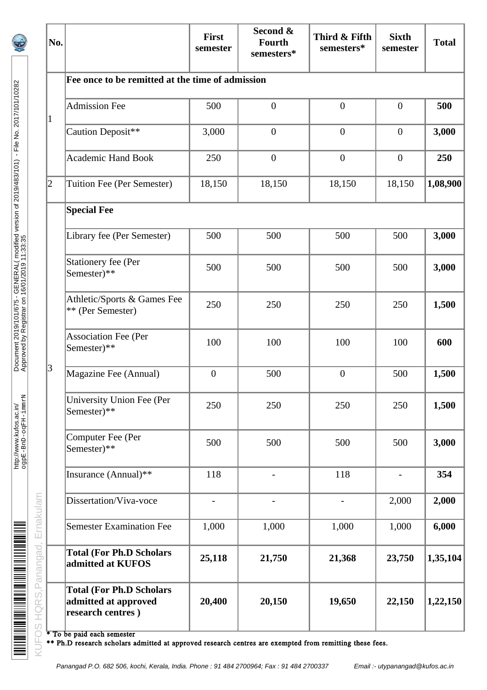| No. |                                                                              | <b>First</b><br>semester | Second &<br><b>Fourth</b><br>semesters* | Third & Fifth<br>semesters* | <b>Sixth</b><br>semester | <b>Total</b> |
|-----|------------------------------------------------------------------------------|--------------------------|-----------------------------------------|-----------------------------|--------------------------|--------------|
|     | Fee once to be remitted at the time of admission                             |                          |                                         |                             |                          |              |
| 1   | <b>Admission Fee</b>                                                         | 500                      | $\mathbf{0}$                            | $\boldsymbol{0}$            | $\boldsymbol{0}$         | 500          |
|     | Caution Deposit**                                                            | 3,000                    | $\mathbf{0}$                            | $\boldsymbol{0}$            | $\boldsymbol{0}$         | 3,000        |
|     | <b>Academic Hand Book</b>                                                    | 250                      | $\boldsymbol{0}$                        | $\boldsymbol{0}$            | $\boldsymbol{0}$         | 250          |
| 2   | Tuition Fee (Per Semester)                                                   | 18,150                   | 18,150                                  | 18,150                      | 18,150                   | 1,08,900     |
|     | <b>Special Fee</b>                                                           |                          |                                         |                             |                          |              |
|     | Library fee (Per Semester)                                                   | 500                      | 500                                     | 500                         | 500                      | 3,000        |
|     | <b>Stationery fee (Per</b><br>Semester)**                                    | 500                      | 500                                     | 500                         | 500                      | 3,000        |
|     | Athletic/Sports & Games Fee<br>** (Per Semester)                             | 250                      | 250                                     | 250                         | 250                      | 1,500        |
|     | <b>Association Fee (Per</b><br>Semester)**                                   | 100                      | 100                                     | 100                         | 100                      | 600          |
| 3   | Magazine Fee (Annual)                                                        | $\mathbf{0}$             | 500                                     | $\boldsymbol{0}$            | 500                      | 1,500        |
|     | <b>University Union Fee (Per</b><br>Semester)**                              | 250                      | 250                                     | 250                         | 250                      | 1,500        |
|     | Computer Fee (Per<br>Semester)**                                             | 500                      | 500                                     | 500                         | 500                      | 3,000        |
|     | Insurance (Annual)**                                                         | 118                      |                                         | 118                         |                          | 354          |
|     | Dissertation/Viva-voce                                                       |                          |                                         |                             | 2,000                    | 2,000        |
|     | <b>Semester Examination Fee</b>                                              | 1,000                    | 1,000                                   | 1,000                       | 1,000                    | 6,000        |
|     | <b>Total (For Ph.D Scholars</b><br>admitted at KUFOS                         | 25,118                   | 21,750                                  | 21,368                      | 23,750                   | 1,35,104     |
|     | <b>Total (For Ph.D Scholars</b><br>admitted at approved<br>research centres) | 20,400                   | 20,150                                  | 19,650                      | 22,150                   | 1,22,150     |

http://www.kufos.ac.in/

http://www.kufos.ac.in/<br>ogpE-BnD-oqFH-immrN

<u>de l'articulation de la proposition de la proposition de la proposition de la proposition de la proposition d</u>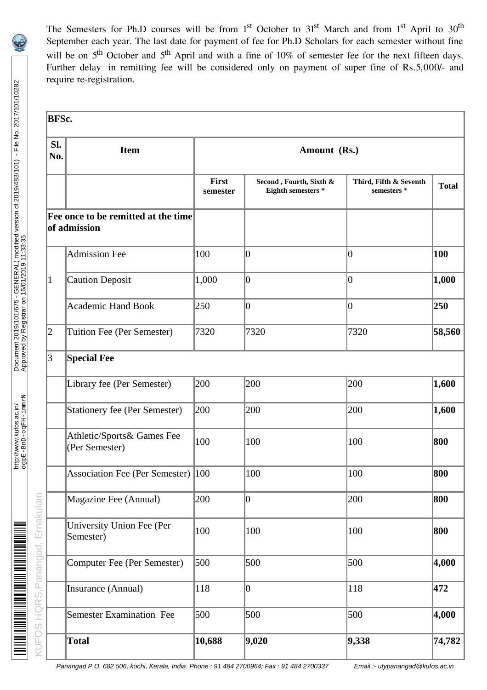The Semesters for Ph.D courses will be from 1<sup>st</sup> October to 31<sup>st</sup> March and from 1<sup>st</sup> April to 30<sup>th</sup> September each year. The last date for payment of fee for Ph.D Scholars for each semester without fine will be on 5<sup>th</sup> October and 5<sup>th</sup> April and with a fine of 10% of semester fee for the next fifteen days. Further delay in remitting fee will be considered only on payment of super fine of Rs.5,000/- and require re-registration.

| SI.<br>No.      | <b>Item</b>                                         | Amount (Rs.)             |                                                      |                                       |              |  |  |
|-----------------|-----------------------------------------------------|--------------------------|------------------------------------------------------|---------------------------------------|--------------|--|--|
|                 |                                                     | <b>First</b><br>semester | Second, Fourth, Sixth &<br><b>Eighth semesters *</b> | Third, Fifth & Seventh<br>semesters * | <b>Total</b> |  |  |
|                 | Fee once to be remitted at the time<br>of admission |                          |                                                      |                                       |              |  |  |
|                 | <b>Admission Fee</b>                                | 100                      | $ 0\rangle$                                          | $ 0\>$                                | 100          |  |  |
| $\vert 1 \vert$ | <b>Caution Deposit</b>                              | 1,000                    | $ 0\rangle$                                          | 10                                    | 1,000        |  |  |
|                 | <b>Academic Hand Book</b>                           | 250                      | $ 0\rangle$                                          | $ 0\rangle$                           | 250          |  |  |
| $\overline{2}$  | Tuition Fee (Per Semester)                          | 7320                     | 7320                                                 | 7320                                  | 58,560       |  |  |
| 3               | <b>Special Fee</b>                                  |                          |                                                      |                                       |              |  |  |
|                 | Library fee (Per Semester)                          | 200                      | 200                                                  | 200                                   | 1,600        |  |  |
|                 | <b>Stationery fee (Per Semester)</b>                | 200                      | 200                                                  | 200                                   | 1,600        |  |  |
|                 | Athletic/Sports& Games Fee<br>(Per Semester)        | 100                      | 100                                                  | 100                                   | 800          |  |  |
|                 | Association Fee (Per Semester) 100                  |                          | 100                                                  | 100                                   | 800          |  |  |
|                 | Magazine Fee (Annual)                               | 200                      | $ 0\rangle$                                          | 200                                   | 800          |  |  |
|                 | <b>University Union Fee (Per</b><br>Semester)       | 100                      | 100                                                  | 100                                   | 800          |  |  |
|                 | <b>Computer Fee (Per Semester)</b>                  | 500                      | 500                                                  | 500                                   | 4,000        |  |  |
|                 | Insurance (Annual)                                  | 118                      | $\boldsymbol{0}$                                     | 118                                   | 472          |  |  |
|                 | Semester Examination Fee                            | 500                      | 500                                                  | 500                                   | 4,000        |  |  |
|                 | <b>Total</b>                                        | 10,688                   | 9,020                                                | 9,338                                 | 74,782       |  |  |

Panangad P.O. 682 506, kochi, Kerala, India. Phone : 91 484 2700964; Fax : 91 484 2700337 Email :- utypanangad@kufos.ac.in

http://www.kufos.ac.in/

<u> METAL MANAGEM MANAGEM MANAGEM MANAGEM MA</u>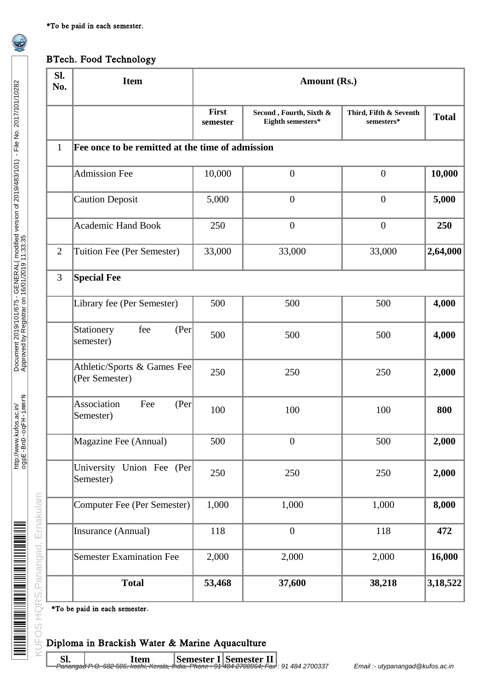## BTech. Food Technology

| SI.<br>No.     | <b>Item</b>                                                                     | <b>Amount (Rs.)</b> |                                              |                                      |              |  |  |
|----------------|---------------------------------------------------------------------------------|---------------------|----------------------------------------------|--------------------------------------|--------------|--|--|
|                |                                                                                 | First<br>semester   | Second, Fourth, Sixth &<br>Eighth semesters* | Third, Fifth & Seventh<br>semesters* | <b>Total</b> |  |  |
| $\mathbf{1}$   | Fee once to be remitted at the time of admission                                |                     |                                              |                                      |              |  |  |
|                | <b>Admission Fee</b>                                                            | 10,000              | $\mathbf{0}$                                 | $\boldsymbol{0}$                     | 10,000       |  |  |
|                | <b>Caution Deposit</b>                                                          | 5,000               | $\overline{0}$                               | $\boldsymbol{0}$                     | 5,000        |  |  |
|                | <b>Academic Hand Book</b>                                                       | 250                 | $\mathbf{0}$                                 | $\boldsymbol{0}$                     | 250          |  |  |
| $\overline{2}$ | <b>Tuition Fee (Per Semester)</b>                                               | 33,000              | 33,000                                       | 33,000                               | 2,64,000     |  |  |
| 3              | <b>Special Fee</b>                                                              |                     |                                              |                                      |              |  |  |
|                | Library fee (Per Semester)                                                      | 500                 | 500                                          | 500                                  | 4,000        |  |  |
|                | (Per<br>Stationery<br>fee<br>semester)                                          | 500                 | 500                                          | 500                                  | 4,000        |  |  |
|                | Athletic/Sports & Games Fee<br>(Per Semester)                                   | 250                 | 250                                          | 250                                  | 2,000        |  |  |
|                | <b>Association</b><br>Fee<br>(Per<br>Semester)                                  | 100                 | 100                                          | 100                                  | 800          |  |  |
|                | Magazine Fee (Annual)                                                           | 500                 | $\boldsymbol{0}$                             | 500                                  | 2,000        |  |  |
|                | University Union Fee (Per<br>Semester)                                          | 250                 | 250                                          | 250                                  | 2,000        |  |  |
|                | <b>Computer Fee (Per Semester)</b>                                              | 1,000               | 1,000                                        | 1,000                                | 8,000        |  |  |
|                | Insurance (Annual)                                                              | 118                 | $\boldsymbol{0}$                             | 118                                  | 472          |  |  |
|                | <b>Semester Examination Fee</b>                                                 | 2,000               | 2,000                                        | 2,000                                | 16,000       |  |  |
|                | <b>Total</b>                                                                    | 53,468              | 37,600                                       | 38,218                               | 3,18,522     |  |  |
|                | *To be paid in each semester.<br>Diploma in Brackish Water & Marine Aquaculture |                     |                                              |                                      |              |  |  |

## Diploma in Brackish Water & Marine Aquaculture

 $\begin{array}{l} {\bf Sl.} \hspace{1cm} \end{array}$   $\begin{array}{l} {\bf Nem} \end{array}$   $\begin{array}{l} {\bf Semester~I} \end{array}$   $\begin{array}{l} {\bf Semester~II} \end{array}$   $\begin{array}{l} {\bf Pa} \end{array}$   $\begin{array}{l} {\bf Pa} \end{array}$   $\begin{array}{l} {\bf Pa} \end{array}$   $\begin{array}{l} {\bf Pa} \end{array}$   $\begin{array}{l} {\bf Pa} \end{array}$   $\begin{array}{l} {\bf Pa} \end{array}$   $\begin{array}{l} {\bf Pa} \end{array$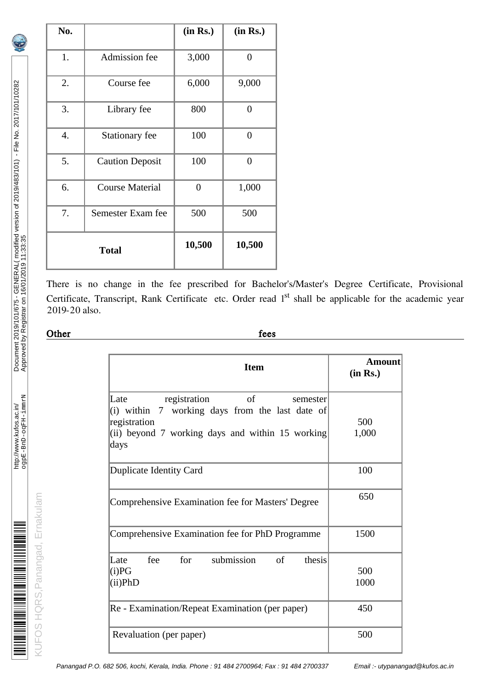| No. |                        | (in Rs.) | (in Rs.)         |
|-----|------------------------|----------|------------------|
| 1.  | Admission fee          | 3,000    | $\overline{0}$   |
| 2.  | Course fee             | 6,000    | 9,000            |
| 3.  | Library fee            | 800      | $\overline{0}$   |
| 4.  | Stationary fee         | 100      | $\overline{0}$   |
| 5.  | <b>Caution Deposit</b> | 100      | $\boldsymbol{0}$ |
| 6.  | <b>Course Material</b> | $\theta$ | 1,000            |
| 7.  | Semester Exam fee      | 500      | 500              |
|     | <b>Total</b>           | 10,500   | 10,500           |

There is no change in the fee prescribed for Bachelor's/Master's Degree Certificate, Provisional Certificate, Transcript, Rank Certificate etc. Order read 1<sup>st</sup> shall be applicable for the academic year 2019-20 also.

# <u>Other fees</u> fees

| <b>Item</b>                                                                                                                                                                    | <b>Amount</b><br>(in Rs.) |
|--------------------------------------------------------------------------------------------------------------------------------------------------------------------------------|---------------------------|
| $\sigma$ of<br>Late<br>registration<br>semester<br>(i) within 7 working days from the last date of<br>registration<br>(ii) beyond 7 working days and within 15 working<br>days | 500<br>1,000              |
| Duplicate Identity Card                                                                                                                                                        | 100                       |
| Comprehensive Examination fee for Masters' Degree                                                                                                                              | 650                       |
| Comprehensive Examination fee for PhD Programme                                                                                                                                | 1500                      |
| fee for submission<br>of<br>thesis<br>Late<br>(i)PG<br>(ii) PhD                                                                                                                | 500<br>1000               |
| Re - Examination/Repeat Examination (per paper)                                                                                                                                | 450                       |
| Revaluation (per paper)                                                                                                                                                        | 500                       |

KUFOS HQRS,Panangad, Ernakulam

KUFOS HQRS, Panangad, Ernakulam